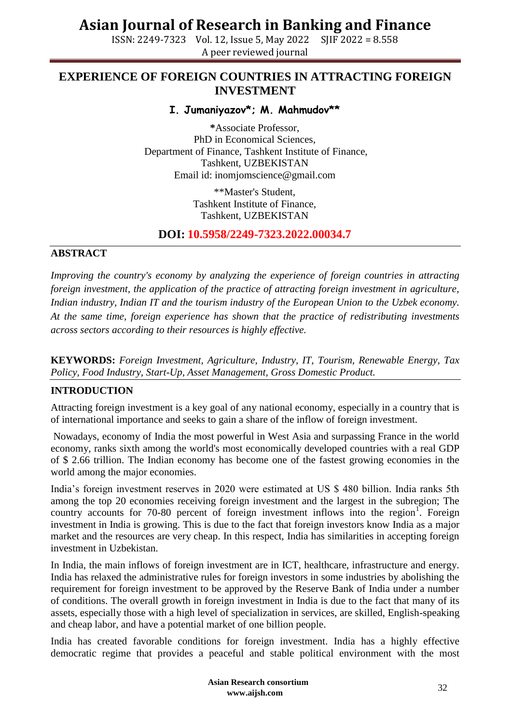ISSN: 2249-7323 Vol. 12, Issue 5, May 2022 SJIF 2022 = 8.558 A peer reviewed journal

### **EXPERIENCE OF FOREIGN COUNTRIES IN ATTRACTING FOREIGN INVESTMENT**

**I. Jumaniyazov\*; M. Mahmudov\*\***

**\***Associate Professor, PhD in Economical Sciences, Department of Finance, Tashkent Institute of Finance, Tashkent, UZBEKISTAN Email id: [inomjomscience@gmail.com](mailto:inomjomscience@gmail.com)

> \*\*Master's Student, Tashkent Institute of Finance, Tashkent, UZBEKISTAN

### **DOI: 10.5958/2249-7323.2022.00034.7**

#### **ABSTRACT**

*Improving the country's economy by analyzing the experience of foreign countries in attracting foreign investment, the application of the practice of attracting foreign investment in agriculture, Indian industry, Indian IT and the tourism industry of the European Union to the Uzbek economy. At the same time, foreign experience has shown that the practice of redistributing investments across sectors according to their resources is highly effective.*

**KEYWORDS:** *Foreign Investment, Agriculture, Industry, IT, Tourism, Renewable Energy, Tax Policy, Food Industry, Start-Up, Asset Management, Gross Domestic Product.*

#### **INTRODUCTION**

Attracting foreign investment is a key goal of any national economy, especially in a country that is of international importance and seeks to gain a share of the inflow of foreign investment.

Nowadays, economy of India the most powerful in West Asia and surpassing France in the world economy, ranks sixth among the world's most economically developed countries with a real GDP of \$ 2.66 trillion. The Indian economy has become one of the fastest growing economies in the world among the major economies.

India's foreign investment reserves in 2020 were estimated at US \$ 480 billion. India ranks 5th among the top 20 economies receiving foreign investment and the largest in the subregion; The country accounts for 70-80 percent of foreign investment inflows into the region<sup>1</sup>. Foreign investment in India is growing. This is due to the fact that foreign investors know India as a major market and the resources are very cheap. In this respect, India has similarities in accepting foreign investment in Uzbekistan.

In India, the main inflows of foreign investment are in ICT, healthcare, infrastructure and energy. India has relaxed the administrative rules for foreign investors in some industries by abolishing the requirement for foreign investment to be approved by the Reserve Bank of India under a number of conditions. The overall growth in foreign investment in India is due to the fact that many of its assets, especially those with a high level of specialization in services, are skilled, English-speaking and cheap labor, and have a potential market of one billion people.

India has created favorable conditions for foreign investment. India has a highly effective democratic regime that provides a peaceful and stable political environment with the most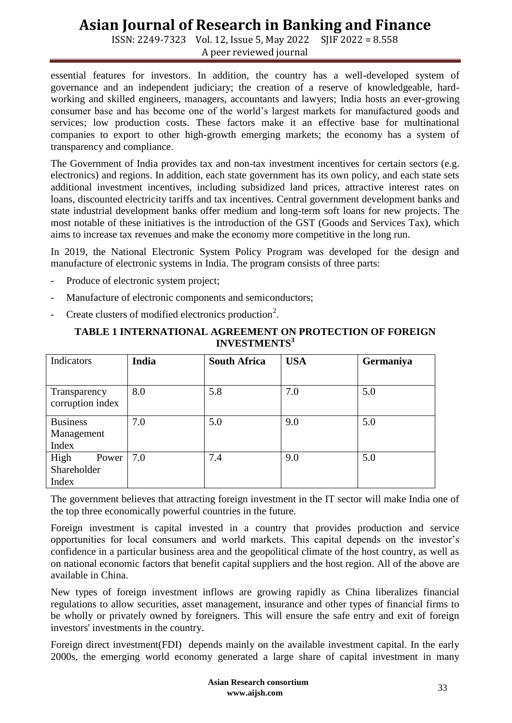ISSN: 2249-7323 Vol. 12, Issue 5, May 2022 SJIF 2022 = 8.558 A peer reviewed journal

essential features for investors. In addition, the country has a well-developed system of governance and an independent judiciary; the creation of a reserve of knowledgeable, hardworking and skilled engineers, managers, accountants and lawyers; India hosts an ever-growing consumer base and has become one of the world's largest markets for manufactured goods and services; low production costs. These factors make it an effective base for multinational companies to export to other high-growth emerging markets; the economy has a system of transparency and compliance.

The Government of India provides tax and non-tax investment incentives for certain sectors (e.g. electronics) and regions. In addition, each state government has its own policy, and each state sets additional investment incentives, including subsidized land prices, attractive interest rates on loans, discounted electricity tariffs and tax incentives. Central government development banks and state industrial development banks offer medium and long-term soft loans for new projects. The most notable of these initiatives is the introduction of the GST (Goods and Services Tax), which aims to increase tax revenues and make the economy more competitive in the long run.

In 2019, the National Electronic System Policy Program was developed for the design and manufacture of electronic systems in India. The program consists of three parts:

- Produce of electronic system project;
- Manufacture of electronic components and semiconductors;
- Create clusters of modified electronics production<sup>2</sup>.

| Indicators       | India | <b>South Africa</b> | <b>USA</b> | Germaniya |
|------------------|-------|---------------------|------------|-----------|
|                  |       |                     |            |           |
| Transparency     | 8.0   | 5.8                 | 7.0        | 5.0       |
| corruption index |       |                     |            |           |
| <b>Business</b>  | 7.0   | 5.0                 | 9.0        | 5.0       |
| Management       |       |                     |            |           |
| Index            |       |                     |            |           |
| High<br>Power    | 7.0   | 7.4                 | 9.0        | 5.0       |
| Shareholder      |       |                     |            |           |
| Index            |       |                     |            |           |

#### **TABLE 1 INTERNATIONAL AGREEMENT ON PROTECTION OF FOREIGN INVESTMENTS<sup>3</sup>**

The government believes that attracting foreign investment in the IT sector will make India one of the top three economically powerful countries in the future.

Foreign investment is capital invested in a country that provides production and service opportunities for local consumers and world markets. This capital depends on the investor's confidence in a particular business area and the geopolitical climate of the host country, as well as on national economic factors that benefit capital suppliers and the host region. All of the above are available in China.

New types of foreign investment inflows are growing rapidly as China liberalizes financial regulations to allow securities, asset management, insurance and other types of financial firms to be wholly or privately owned by foreigners. This will ensure the safe entry and exit of foreign investors' investments in the country.

Foreign direct investment(FDI) depends mainly on the available investment capital. In the early 2000s, the emerging world economy generated a large share of capital investment in many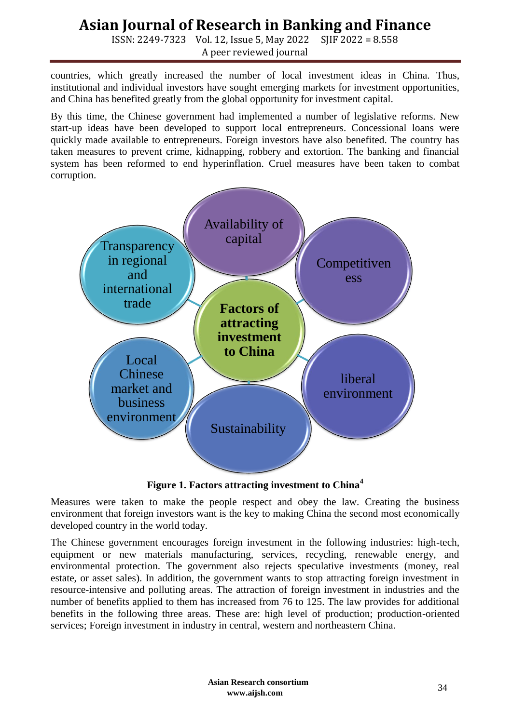ISSN: 2249-7323 Vol. 12, Issue 5, May 2022 SJIF 2022 = 8.558 A peer reviewed journal

countries, which greatly increased the number of local investment ideas in China. Thus, institutional and individual investors have sought emerging markets for investment opportunities, and China has benefited greatly from the global opportunity for investment capital.

By this time, the Chinese government had implemented a number of legislative reforms. New start-up ideas have been developed to support local entrepreneurs. Concessional loans were quickly made available to entrepreneurs. Foreign investors have also benefited. The country has taken measures to prevent crime, kidnapping, robbery and extortion. The banking and financial system has been reformed to end hyperinflation. Cruel measures have been taken to combat corruption.



**Figure 1. Factors attracting investment to China<sup>4</sup>**

Measures were taken to make the people respect and obey the law. Creating the business environment that foreign investors want is the key to making China the second most economically developed country in the world today.

The Chinese government encourages foreign investment in the following industries: high-tech, equipment or new materials manufacturing, services, recycling, renewable energy, and environmental protection. The government also rejects speculative investments (money, real estate, or asset sales). In addition, the government wants to stop attracting foreign investment in resource-intensive and polluting areas. The attraction of foreign investment in industries and the number of benefits applied to them has increased from 76 to 125. The law provides for additional benefits in the following three areas. These are: high level of production; production-oriented services; Foreign investment in industry in central, western and northeastern China.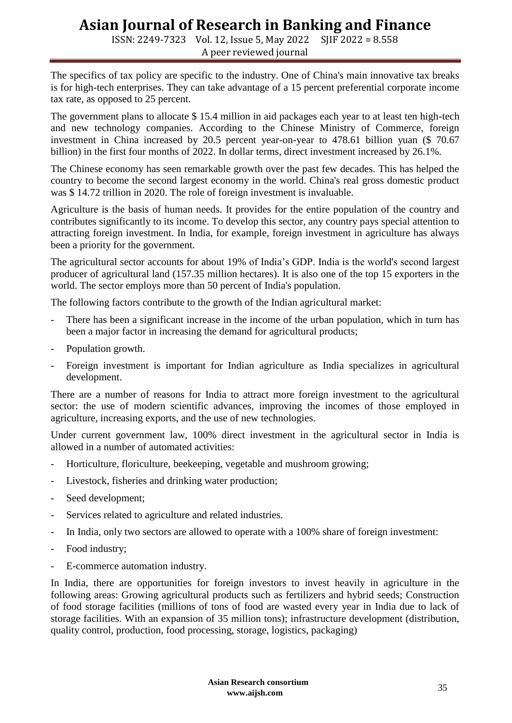ISSN: 2249-7323 Vol. 12, Issue 5, May 2022 SJIF 2022 = 8.558 A peer reviewed journal

The specifics of tax policy are specific to the industry. One of China's main innovative tax breaks is for high-tech enterprises. They can take advantage of a 15 percent preferential corporate income tax rate, as opposed to 25 percent.

The government plans to allocate \$15.4 million in aid packages each year to at least ten high-tech and new technology companies. According to the Chinese Ministry of Commerce, foreign investment in China increased by 20.5 percent year-on-year to 478.61 billion yuan (\$ 70.67 billion) in the first four months of 2022. In dollar terms, direct investment increased by 26.1%.

The Chinese economy has seen remarkable growth over the past few decades. This has helped the country to become the second largest economy in the world. China's real gross domestic product was \$ 14.72 trillion in 2020. The role of foreign investment is invaluable.

Agriculture is the basis of human needs. It provides for the entire population of the country and contributes significantly to its income. To develop this sector, any country pays special attention to attracting foreign investment. In India, for example, foreign investment in agriculture has always been a priority for the government.

The agricultural sector accounts for about 19% of India's GDP. India is the world's second largest producer of agricultural land (157.35 million hectares). It is also one of the top 15 exporters in the world. The sector employs more than 50 percent of India's population.

The following factors contribute to the growth of the Indian agricultural market:

- There has been a significant increase in the income of the urban population, which in turn has been a major factor in increasing the demand for agricultural products;
- Population growth.
- Foreign investment is important for Indian agriculture as India specializes in agricultural development.

There are a number of reasons for India to attract more foreign investment to the agricultural sector: the use of modern scientific advances, improving the incomes of those employed in agriculture, increasing exports, and the use of new technologies.

Under current government law, 100% direct investment in the agricultural sector in India is allowed in a number of automated activities:

- Horticulture, floriculture, beekeeping, vegetable and mushroom growing;
- Livestock, fisheries and drinking water production;
- Seed development;
- Services related to agriculture and related industries.
- In India, only two sectors are allowed to operate with a 100% share of foreign investment:
- Food industry;
- E-commerce automation industry.

In India, there are opportunities for foreign investors to invest heavily in agriculture in the following areas: Growing agricultural products such as fertilizers and hybrid seeds; Construction of food storage facilities (millions of tons of food are wasted every year in India due to lack of storage facilities. With an expansion of 35 million tons); infrastructure development (distribution, quality control, production, food processing, storage, logistics, packaging)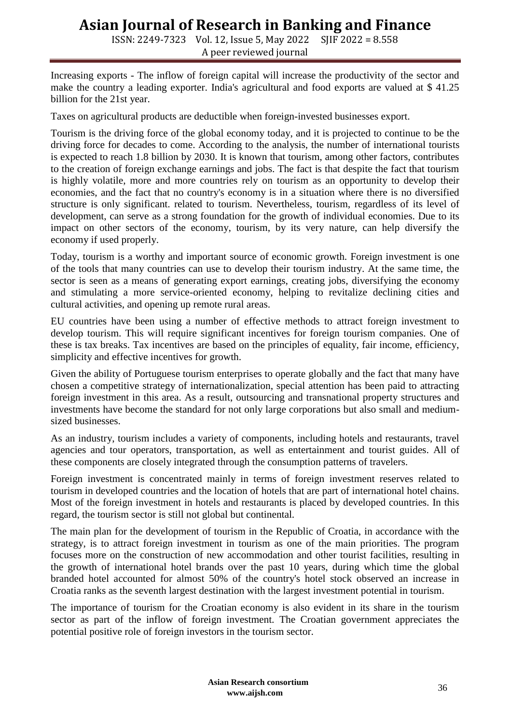ISSN: 2249-7323 Vol. 12, Issue 5, May 2022 SJIF 2022 = 8.558 A peer reviewed journal

Increasing exports - The inflow of foreign capital will increase the productivity of the sector and make the country a leading exporter. India's agricultural and food exports are valued at \$ 41.25 billion for the 21st year.

Taxes on agricultural products are deductible when foreign-invested businesses export.

Tourism is the driving force of the global economy today, and it is projected to continue to be the driving force for decades to come. According to the analysis, the number of international tourists is expected to reach 1.8 billion by 2030. It is known that tourism, among other factors, contributes to the creation of foreign exchange earnings and jobs. The fact is that despite the fact that tourism is highly volatile, more and more countries rely on tourism as an opportunity to develop their economies, and the fact that no country's economy is in a situation where there is no diversified structure is only significant. related to tourism. Nevertheless, tourism, regardless of its level of development, can serve as a strong foundation for the growth of individual economies. Due to its impact on other sectors of the economy, tourism, by its very nature, can help diversify the economy if used properly.

Today, tourism is a worthy and important source of economic growth. Foreign investment is one of the tools that many countries can use to develop their tourism industry. At the same time, the sector is seen as a means of generating export earnings, creating jobs, diversifying the economy and stimulating a more service-oriented economy, helping to revitalize declining cities and cultural activities, and opening up remote rural areas.

EU countries have been using a number of effective methods to attract foreign investment to develop tourism. This will require significant incentives for foreign tourism companies. One of these is tax breaks. Tax incentives are based on the principles of equality, fair income, efficiency, simplicity and effective incentives for growth.

Given the ability of Portuguese tourism enterprises to operate globally and the fact that many have chosen a competitive strategy of internationalization, special attention has been paid to attracting foreign investment in this area. As a result, outsourcing and transnational property structures and investments have become the standard for not only large corporations but also small and mediumsized businesses.

As an industry, tourism includes a variety of components, including hotels and restaurants, travel agencies and tour operators, transportation, as well as entertainment and tourist guides. All of these components are closely integrated through the consumption patterns of travelers.

Foreign investment is concentrated mainly in terms of foreign investment reserves related to tourism in developed countries and the location of hotels that are part of international hotel chains. Most of the foreign investment in hotels and restaurants is placed by developed countries. In this regard, the tourism sector is still not global but continental.

The main plan for the development of tourism in the Republic of Croatia, in accordance with the strategy, is to attract foreign investment in tourism as one of the main priorities. The program focuses more on the construction of new accommodation and other tourist facilities, resulting in the growth of international hotel brands over the past 10 years, during which time the global branded hotel accounted for almost 50% of the country's hotel stock observed an increase in Croatia ranks as the seventh largest destination with the largest investment potential in tourism.

The importance of tourism for the Croatian economy is also evident in its share in the tourism sector as part of the inflow of foreign investment. The Croatian government appreciates the potential positive role of foreign investors in the tourism sector.